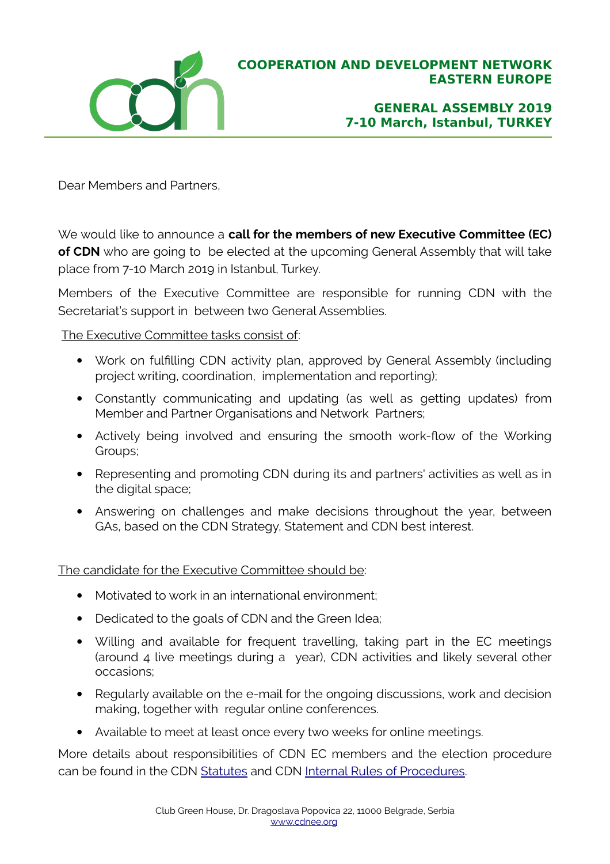

**GENERAL ASSEMBLY 2019 7-10 March, Istanbul, TURKEY**

Dear Members and Partners,

We would like to announce a **call for the members of new Executive Committee (EC) of CDN** who are going to be elected at the upcoming General Assembly that will take place from 7-10 March 2019 in Istanbul, Turkey.

Members of the Executive Committee are responsible for running CDN with the Secretariat's support in between two General Assemblies.

The Executive Committee tasks consist of:

- Work on fulfilling CDN activity plan, approved by General Assembly (including project writing, coordination, implementation and reporting);
- Constantly communicating and updating (as well as getting updates) from Member and Partner Organisations and Network Partners;
- Actively being involved and ensuring the smooth work-flow of the Working Groups;
- Representing and promoting CDN during its and partners' activities as well as in the digital space;
- Answering on challenges and make decisions throughout the year, between GAs, based on the CDN Strategy, Statement and CDN best interest.

The candidate for the Executive Committee should be:

- Motivated to work in an international environment;
- Dedicated to the goals of CDN and the Green Idea;
- Willing and available for frequent travelling, taking part in the EC meetings (around 4 live meetings during a year), CDN activities and likely several other occasions;
- Regularly available on the e-mail for the ongoing discussions, work and decision making, together with regular online conferences.
- Available to meet at least once every two weeks for online meetings.

More details about responsibilities of CDN EC members and the election procedure can be found in the CDN [Statutes](https://www.cdnee.org/wp-content/uploads/2014/06/cdn-aisbl-statutes.pdf) and CDN [Internal Rules of Procedures.](https://www.cdnee.org/wp-content/uploads/2018/03/IRPs2018-amended-and-ready-for-website.pdf)